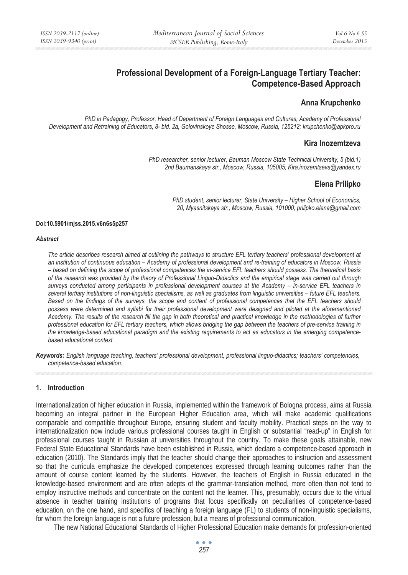# **Professional Development of a Foreign-Language Tertiary Teacher: Competence-Based Approach**

## **Anna Krupchenko**

*PhD in Pedagogy, Professor, Head of Department of Foreign Languages and Cultures, Academy of Professional Development and Retraining of Educators, 8- bld. 2a, Golovinskoye Shosse, Moscow, Russia, 125212; krupchenko@apkpro.ru* 

## **Kira Inozemtzeva**

*PhD researcher, senior lecturer, Bauman Moscow State Technical University, 5 (bld.1) 2nd Baumanskaya str., Moscow, Russia, 105005; Kira.inozemtseva@yandex.ru* 

## **Elena Prilipko**

*PhD student, senior lecturer, State University – Higher School of Economics, 20, Myasnitskaya str., Moscow, Russia, 101000; prilipko.elena@gmail.com* 

#### **Doi:10.5901/mjss.2015.v6n6s5p257**

#### *Abstract*

*The article describes research aimed at outlining the pathways to structure EFL tertiary teachers' professional development at an institution of continuous education – Academy of professional development and re-training of educators in Moscow, Russia – based on defining the scope of professional competences the in-service EFL teachers should possess. The theoretical basis of the research was provided by the theory of Professional Linguo-Didactics and the empirical stage was carried out through surveys conducted among participants in professional development courses at the Academy – in-service EFL teachers in several tertiary institutions of non-linguistic specialisms, as well as graduates from linguistic universities – future EFL teachers. Based on the findings of the surveys, the scope and content of professional competences that the EFL teachers should possess were determined and syllabi for their professional development were designed and piloted at the aforementioned Academy. The results of the research fill the gap in both theoretical and practical knowledge in the methodologies of further professional education for EFL tertiary teachers, which allows bridging the gap between the teachers of pre-service training in the knowledge-based educational paradigm and the existing requirements to act as educators in the emerging competencebased educational context.* 

*Keywords: English language teaching, teachers' professional development, professional linguo-didactics; teachers' competencies, competence-based education.*

### **1. Introduction**

Internationalization of higher education in Russia, implemented within the framework of Bologna process, aims at Russia becoming an integral partner in the European Higher Education area, which will make academic qualifications comparable and compatible throughout Europe, ensuring student and faculty mobility. Practical steps on the way to internationalization now include various professional courses taught in English or substantial "read-up" in English for professional courses taught in Russian at universities throughout the country. To make these goals attainable, new Federal State Educational Standards have been established in Russia, which declare a competence-based approach in education (2010). The Standards imply that the teacher should change their approaches to instruction and assessment so that the curricula emphasize the developed competences expressed through learning outcomes rather than the amount of course content learned by the students. However, the teachers of English in Russia educated in the knowledge-based environment and are often adepts of the grammar-translation method, more often than not tend to employ instructive methods and concentrate on the content not the learner. This, presumably, occurs due to the virtual absence in teacher training institutions of programs that focus specifically on peculiarities of competence-based education, on the one hand, and specifics of teaching a foreign language (FL) to students of non-linguistic specialisms, for whom the foreign language is not a future profession, but a means of professional communication.

The new National Educational Standards of Higher Professional Education make demands for profession-oriented

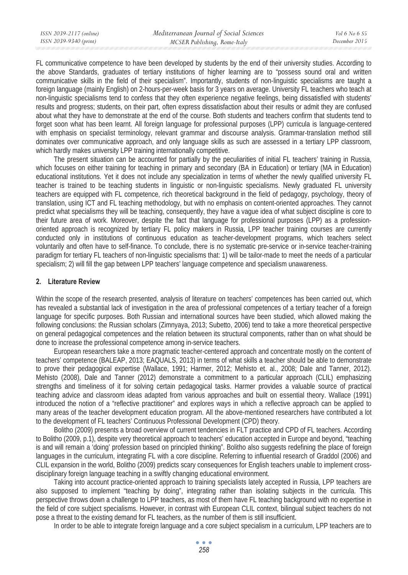FL communicative competence to have been developed by students by the end of their university studies. According to the above Standards, graduates of tertiary institutions of higher learning are to "possess sound oral and written communicative skills in the field of their specialism". Importantly, students of non-linguistic specialisms are taught a foreign language (mainly English) on 2-hours-per-week basis for 3 years on average. University FL teachers who teach at non-linguistic specialisms tend to confess that they often experience negative feelings, being dissatisfied with students' results and progress; students, on their part, often express dissatisfaction about their results or admit they are confused about what they have to demonstrate at the end of the course. Both students and teachers confirm that students tend to forget soon what has been learnt. All foreign language for professional purposes (LPP) curricula is language-centered with emphasis on specialist terminology, relevant grammar and discourse analysis. Grammar-translation method still dominates over communicative approach, and only language skills as such are assessed in a tertiary LPP classroom, which hardly makes university LPP training internationally competitive.

The present situation can be accounted for partially by the peculiarities of initial FL teachers' training in Russia, which focuses on either training for teaching in primary and secondary (BA in Education) or tertiary (MA in Education) educational institutions. Yet it does not include any specialization in terms of whether the newly qualified university FL teacher is trained to be teaching students in linguistic or non-linguistic specialisms. Newly graduated FL university teachers are equipped with FL competence, rich theoretical background in the field of pedagogy, psychology, theory of translation, using ICT and FL teaching methodology, but with no emphasis on content-oriented approaches. They cannot predict what specialisms they will be teaching, consequently, they have a vague idea of what subject discipline is core to their future area of work. Moreover, despite the fact that language for professional purposes (LPP) as a professionoriented approach is recognized by tertiary FL policy makers in Russia, LPP teacher training courses are currently conducted only in institutions of continuous education as teacher-development programs, which teachers select voluntarily and often have to self-finance. To conclude, there is no systematic pre-service or in-service teacher-training paradigm for tertiary FL teachers of non-linguistic specialisms that: 1) will be tailor-made to meet the needs of a particular specialism; 2) will fill the gap between LPP teachers' language competence and specialism unawareness.

### **2. Literature Review**

Within the scope of the research presented, analysis of literature on teachers' competences has been carried out, which has revealed a substantial lack of investigation in the area of professional competences of a tertiary teacher of a foreign language for specific purposes. Both Russian and international sources have been studied, which allowed making the following conclusions: the Russian scholars (Zimnyaya, 2013; Subetto, 2006) tend to take a more theoretical perspective on general pedagogical competences and the relation between its structural components, rather than on what should be done to increase the professional competence among in-service teachers.

European researchers take a more pragmatic teacher-centered approach and concentrate mostly on the content of teachers' competence (BALEAP, 2013; EAQUALS, 2013) in terms of what skills a teacher should be able to demonstrate to prove their pedagogical expertise (Wallace, 1991; Harmer, 2012; Mehisto et. al., 2008; Dale and Tanner, 2012). Mehisto (2008), Dale and Tanner (2012) demonstrate a commitment to a particular approach (CLIL) emphasizing strengths and timeliness of it for solving certain pedagogical tasks. Harmer provides a valuable source of practical teaching advice and classroom ideas adapted from various approaches and built on essential theory. Wallace (1991) introduced the notion of a "reflective practitioner" and explores ways in which a reflective approach can be applied to many areas of the teacher development education program. All the above-mentioned researchers have contributed a lot to the development of FL teachers' Continuous Professional Development (CPD) theory.

Bolitho (2009) presents a broad overview of current tendencies in FLT practice and CPD of FL teachers. According to Bolitho (2009, p.1), despite very theoretical approach to teachers' education accepted in Europe and beyond, "teaching is and will remain a 'doing' profession based on principled thinking". Bolitho also suggests redefining the place of foreign languages in the curriculum, integrating FL with a core discipline. Referring to influential research of Graddol (2006) and CLIL expansion in the world, Bolitho (2009) predicts scary consequences for English teachers unable to implement crossdisciplinary foreign language teaching in a swiftly changing educational environment.

Taking into account practice-oriented approach to training specialists lately accepted in Russia, LPP teachers are also supposed to implement "teaching by doing", integrating rather than isolating subjects in the curricula. This perspective throws down a challenge to LPP teachers, as most of them have FL teaching background with no expertise in the field of core subject specialisms. However, in contrast with European CLIL context, bilingual subject teachers do not pose a threat to the existing demand for FL teachers, as the number of them is still insufficient.

In order to be able to integrate foreign language and a core subject specialism in a curriculum, LPP teachers are to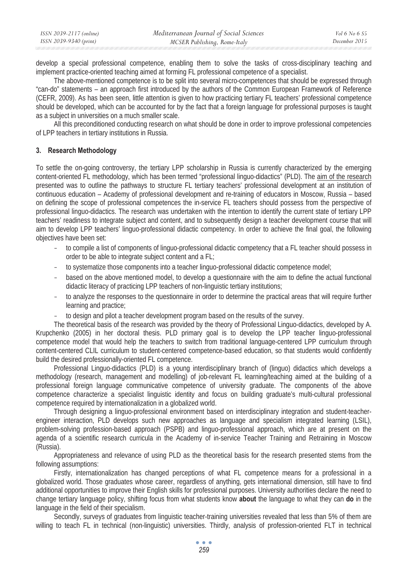| ISSN 2039-2117 (online) | Mediterranean Journal of Social Sciences | <i>Vol</i> 6 No 6 S5 |
|-------------------------|------------------------------------------|----------------------|
| ISSN 2039-9340 (print)  | MCSER Publishing, Rome-Italy             | December 2015        |

develop a special professional competence, enabling them to solve the tasks of cross-disciplinary teaching and implement practice-oriented teaching aimed at forming FL professional competence of a specialist.

The above-mentioned competence is to be split into several micro-competences that should be expressed through "can-do" statements – an approach first introduced by the authors of the Common European Framework of Reference (CEFR, 2009). As has been seen, little attention is given to how practicing tertiary FL teachers' professional competence should be developed, which can be accounted for by the fact that a foreign language for professional purposes is taught as a subject in universities on a much smaller scale.

All this preconditioned conducting research on what should be done in order to improve professional competencies of LPP teachers in tertiary institutions in Russia.

### **3. Research Methodology**

To settle the on-going controversy, the tertiary LPP scholarship in Russia is currently characterized by the emerging content-oriented FL methodology, which has been termed "professional linguo-didactics" (PLD). The aim of the research presented was to outline the pathways to structure FL tertiary teachers' professional development at an institution of continuous education – Academy of professional development and re-training of educators in Moscow, Russia – based on defining the scope of professional competences the in-service FL teachers should possess from the perspective of professional linguo-didactics. The research was undertaken with the intention to identify the current state of tertiary LPP teachers' readiness to integrate subject and content, and to subsequently design a teacher development course that will aim to develop LPP teachers' linguo-professional didactic competency. In order to achieve the final goal, the following objectives have been set:

- to compile a list of components of linguo-professional didactic competency that a FL teacher should possess in order to be able to integrate subject content and a FL;
- to systematize those components into a teacher linguo-professional didactic competence model;
- based on the above mentioned model, to develop a questionnaire with the aim to define the actual functional didactic literacy of practicing LPP teachers of non-linguistic tertiary institutions;
- to analyze the responses to the questionnaire in order to determine the practical areas that will require further learning and practice;
- to design and pilot a teacher development program based on the results of the survey.

The theoretical basis of the research was provided by the theory of Professional Linguo-didactics, developed by A. Krupchenko (2005) in her doctoral thesis. PLD primary goal is to develop the LPP teacher linguo-professional competence model that would help the teachers to switch from traditional language-centered LPP curriculum through content-centered CLIL curriculum to student-centered competence-based education, so that students would confidently build the desired professionally-oriented FL competence.

Professional Linguo-didactics (PLD) is a young interdisciplinary branch of (linguo) didactics which develops a methodology (research, management and modelling) of job-relevant FL learning/teaching aimed at the building of a professional foreign language communicative competence of university graduate. The components of the above competence characterize a specialist linguistic identity and focus on building graduate's multi-cultural professional competence required by internationalization in a globalized world.

Through designing a linguo-professional environment based on interdisciplinary integration and student-teacherengineer interaction, PLD develops such new approaches as language and specialism integrated learning (LSIL), problem-solving profession-based approach (PSPB) and linguo-professional approach, which are at present on the agenda of a scientific research curricula in the Academy of in-service Teacher Training and Retraining in Moscow (Russia).

Appropriateness and relevance of using PLD as the theoretical basis for the research presented stems from the following assumptions:

Firstly, internationalization has changed perceptions of what FL competence means for a professional in a globalized world. Those graduates whose career, regardless of anything, gets international dimension, still have to find additional opportunities to improve their English skills for professional purposes. University authorities declare the need to change tertiary language policy, shifting focus from what students know **about** the language to what they can **do** in the language in the field of their specialism.

Secondly, surveys of graduates from linguistic teacher-training universities revealed that less than 5% of them are willing to teach FL in technical (non-linguistic) universities. Thirdly, analysis of profession-oriented FLT in technical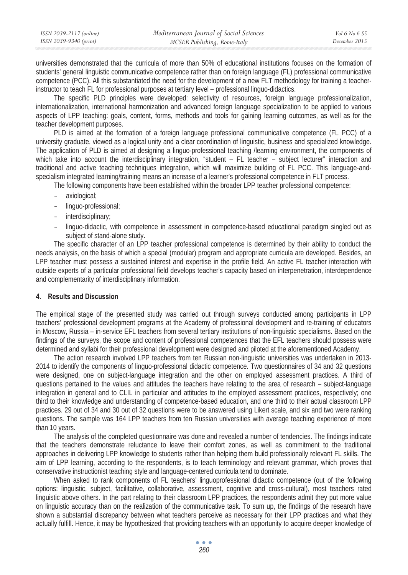| ISSN 2039-2117 (online) | Mediterranean Journal of Social Sciences | <i>Vol</i> 6 No 6 S5 |
|-------------------------|------------------------------------------|----------------------|
| ISSN 2039-9340 (print)  | MCSER Publishing, Rome-Italy             | December 2015        |

universities demonstrated that the curricula of more than 50% of educational institutions focuses on the formation of students' general linguistic communicative competence rather than on foreign language (FL) professional communicative competence (PCC). All this substantiated the need for the development of a new FLT methodology for training a teacherinstructor to teach FL for professional purposes at tertiary level – professional linguo-didactics.

The specific PLD principles were developed: selectivity of resources, foreign language professionalization, internationalization, international harmonization and advanced foreign language specialization to be applied to various aspects of LPP teaching: goals, content, forms, methods and tools for gaining learning outcomes, as well as for the teacher development purposes.

PLD is aimed at the formation of a foreign language professional communicative competence (FL PCC) of a university graduate, viewed as a logical unity and a clear coordination of linguistic, business and specialized knowledge. The application of PLD is aimed at designing a linguo-professional teaching /learning environment, the components of which take into account the interdisciplinary integration, "student – FL teacher – subject lecturer" interaction and traditional and active teaching techniques integration, which will maximize building of FL PCC. This language-andspecialism integrated learning/training means an increase of a learner's professional competence in FLT process.

The following components have been established within the broader LPP teacher professional competence:

- axiological;
- linguo-professional;
- interdisciplinary:
- linguo-didactic, with competence in assessment in competence-based educational paradigm singled out as subject of stand-alone study.

The specific character of an LPP teacher professional competence is determined by their ability to conduct the needs analysis, on the basis of which a special (modular) program and appropriate curricula are developed. Besides, an LPP teacher must possess a sustained interest and expertise in the profile field. An active FL teacher interaction with outside experts of a particular professional field develops teacher's capacity based on interpenetration, interdependence and complementarity of interdisciplinary information.

#### **4. Results and Discussion**

The empirical stage of the presented study was carried out through surveys conducted among participants in LPP teachers' professional development programs at the Academy of professional development and re-training of educators in Moscow, Russia – in-service EFL teachers from several tertiary institutions of non-linguistic specialisms. Based on the findings of the surveys, the scope and content of professional competences that the EFL teachers should possess were determined and syllabi for their professional development were designed and piloted at the aforementioned Academy.

The action research involved LPP teachers from ten Russian non-linguistic universities was undertaken in 2013- 2014 to identify the components of linguo-professional didactic competence. Two questionnaires of 34 and 32 questions were designed, one on subject-language integration and the other on employed assessment practices. A third of questions pertained to the values and attitudes the teachers have relating to the area of research – subject-language integration in general and to CLIL in particular and attitudes to the employed assessment practices, respectively; one third to their knowledge and understanding of competence-based education, and one third to their actual classroom LPP practices. 29 out of 34 and 30 out of 32 questions were to be answered using Likert scale, and six and two were ranking questions. The sample was 164 LPP teachers from ten Russian universities with average teaching experience of more than 10 years.

The analysis of the completed questionnaire was done and revealed a number of tendencies. The findings indicate that the teachers demonstrate reluctance to leave their comfort zones, as well as commitment to the traditional approaches in delivering LPP knowledge to students rather than helping them build professionally relevant FL skills. The aim of LPP learning, according to the respondents, is to teach terminology and relevant grammar, which proves that conservative instructionist teaching style and language-centered curricula tend to dominate.

When asked to rank components of FL teachers' linguoprofessional didactic competence (out of the following options: linguistic, subject, facilitative, collaborative, assessment, cognitive and cross-cultural), most teachers rated linguistic above others. In the part relating to their classroom LPP practices, the respondents admit they put more value on linguistic accuracy than on the realization of the communicative task. To sum up, the findings of the research have shown a substantial discrepancy between what teachers perceive as necessary for their LPP practices and what they actually fulfill. Hence, it may be hypothesized that providing teachers with an opportunity to acquire deeper knowledge of